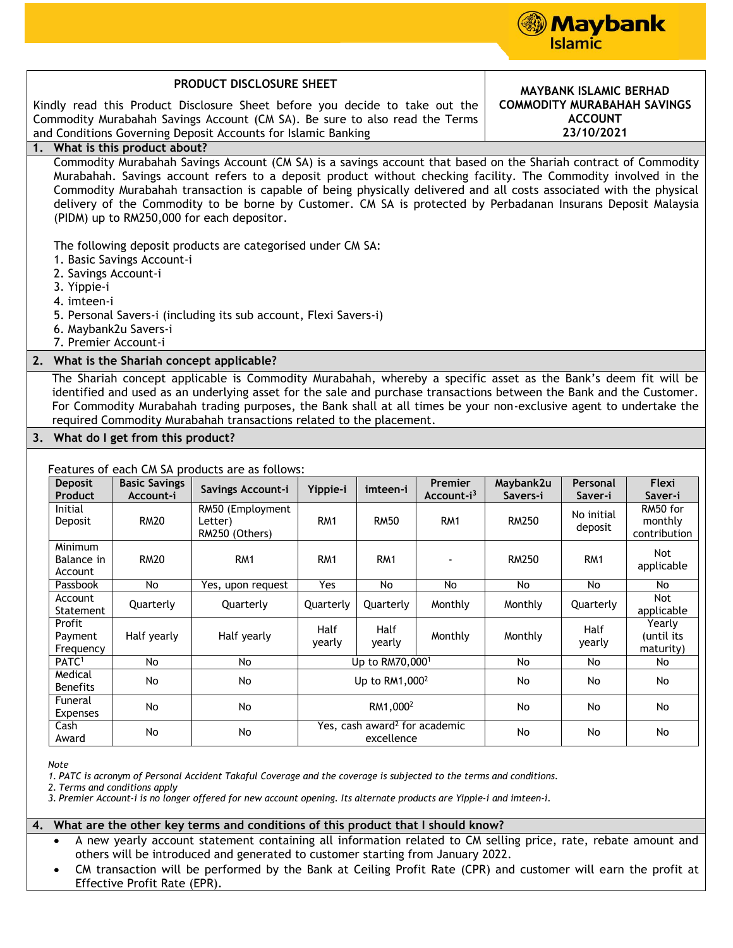

Yearly (until its maturity)

yearly

| PRODUCT DISCLOSURE SHEET                                                                                                                                                                                                                                                                                                                                                                                                            |                                   |                                                                                                                                                                                                                                                                                                                                                                                                                                                                                                                                                                                          |                 |                 |                                   |                                                                    | <b>MAYBANK ISLAMIC BERHAD</b> |                                     |  |
|-------------------------------------------------------------------------------------------------------------------------------------------------------------------------------------------------------------------------------------------------------------------------------------------------------------------------------------------------------------------------------------------------------------------------------------|-----------------------------------|------------------------------------------------------------------------------------------------------------------------------------------------------------------------------------------------------------------------------------------------------------------------------------------------------------------------------------------------------------------------------------------------------------------------------------------------------------------------------------------------------------------------------------------------------------------------------------------|-----------------|-----------------|-----------------------------------|--------------------------------------------------------------------|-------------------------------|-------------------------------------|--|
| Kindly read this Product Disclosure Sheet before you decide to take out the<br>Commodity Murabahah Savings Account (CM SA). Be sure to also read the Terms<br>and Conditions Governing Deposit Accounts for Islamic Banking                                                                                                                                                                                                         |                                   |                                                                                                                                                                                                                                                                                                                                                                                                                                                                                                                                                                                          |                 |                 |                                   | <b>COMMODITY MURABAHAH SAVINGS</b><br><b>ACCOUNT</b><br>23/10/2021 |                               |                                     |  |
| 1. What is this product about?                                                                                                                                                                                                                                                                                                                                                                                                      |                                   |                                                                                                                                                                                                                                                                                                                                                                                                                                                                                                                                                                                          |                 |                 |                                   |                                                                    |                               |                                     |  |
| 2. Savings Account-i<br>3. Yippie-i<br>4. imteen-i                                                                                                                                                                                                                                                                                                                                                                                  | 1. Basic Savings Account-i        | Commodity Murabahah Savings Account (CM SA) is a savings account that based on the Shariah contract of Commodity<br>Murabahah. Savings account refers to a deposit product without checking facility. The Commodity involved in the<br>Commodity Murabahah transaction is capable of being physically delivered and all costs associated with the physical<br>delivery of the Commodity to be borne by Customer. CM SA is protected by Perbadanan Insurans Deposit Malaysia<br>(PIDM) up to RM250,000 for each depositor.<br>The following deposit products are categorised under CM SA: |                 |                 |                                   |                                                                    |                               |                                     |  |
| 5. Personal Savers-i (including its sub account, Flexi Savers-i)<br>6. Maybank2u Savers-i<br>7. Premier Account-i                                                                                                                                                                                                                                                                                                                   |                                   |                                                                                                                                                                                                                                                                                                                                                                                                                                                                                                                                                                                          |                 |                 |                                   |                                                                    |                               |                                     |  |
| 2. What is the Shariah concept applicable?                                                                                                                                                                                                                                                                                                                                                                                          |                                   |                                                                                                                                                                                                                                                                                                                                                                                                                                                                                                                                                                                          |                 |                 |                                   |                                                                    |                               |                                     |  |
| The Shariah concept applicable is Commodity Murabahah, whereby a specific asset as the Bank's deem fit will be<br>identified and used as an underlying asset for the sale and purchase transactions between the Bank and the Customer.<br>For Commodity Murabahah trading purposes, the Bank shall at all times be your non-exclusive agent to undertake the<br>required Commodity Murabahah transactions related to the placement. |                                   |                                                                                                                                                                                                                                                                                                                                                                                                                                                                                                                                                                                          |                 |                 |                                   |                                                                    |                               |                                     |  |
| 3. What do I get from this product?                                                                                                                                                                                                                                                                                                                                                                                                 |                                   |                                                                                                                                                                                                                                                                                                                                                                                                                                                                                                                                                                                          |                 |                 |                                   |                                                                    |                               |                                     |  |
| Features of each CM SA products are as follows:                                                                                                                                                                                                                                                                                                                                                                                     |                                   |                                                                                                                                                                                                                                                                                                                                                                                                                                                                                                                                                                                          |                 |                 |                                   |                                                                    |                               |                                     |  |
| <b>Deposit</b><br>Product                                                                                                                                                                                                                                                                                                                                                                                                           | <b>Basic Savings</b><br>Account-i | Savings Account-i                                                                                                                                                                                                                                                                                                                                                                                                                                                                                                                                                                        | Yippie-i        | imteen-i        | Premier<br>Account-i <sup>3</sup> | Maybank2u<br>Savers-i                                              | Personal<br>Saver-i           | Flexi<br>Saver-i                    |  |
| <b>Initial</b><br>Deposit                                                                                                                                                                                                                                                                                                                                                                                                           | <b>RM20</b>                       | RM50 (Employment<br>Letter)<br>RM250 (Others)                                                                                                                                                                                                                                                                                                                                                                                                                                                                                                                                            | RM1             | <b>RM50</b>     | RM <sub>1</sub>                   | <b>RM250</b>                                                       | No initial<br>deposit         | RM50 for<br>monthly<br>contribution |  |
| Minimum<br>Balance in<br>Account                                                                                                                                                                                                                                                                                                                                                                                                    | <b>RM20</b>                       | RM1                                                                                                                                                                                                                                                                                                                                                                                                                                                                                                                                                                                      | RM <sub>1</sub> | RM <sub>1</sub> |                                   | RM250                                                              | RM <sub>1</sub>               | Not.<br>applicable                  |  |
| Passbook                                                                                                                                                                                                                                                                                                                                                                                                                            | No                                | Yes, upon request                                                                                                                                                                                                                                                                                                                                                                                                                                                                                                                                                                        | Yes             | No              | No                                | No                                                                 | No                            | No                                  |  |
| Account<br>Statement                                                                                                                                                                                                                                                                                                                                                                                                                | Quarterly                         | Quarterly                                                                                                                                                                                                                                                                                                                                                                                                                                                                                                                                                                                | Quarterly       | Quarterly       | Monthly                           | Monthly                                                            | Quarterly                     | Not<br>applicable                   |  |

*Note*

Profit Payment Frequency

Medical

Funeral

Cash

*1. PATC is acronym of Personal Accident Takaful Coverage and the coverage is subjected to the terms and conditions.*

yearly

*2. Terms and conditions apply*

*3. Premier Account-i is no longer offered for new account opening. Its alternate products are Yippie-i and imteen-i.*

## **4. What are the other key terms and conditions of this product that I should know?**

 $\begin{array}{c|c|c|c|c} \text{Cash} & \text{No} & \text{No} & \text{Yes, cash award} \end{array}$  for academic excellence

Half yearly Half yearly Half

 A new yearly account statement containing all information related to CM selling price, rate, rebate amount and others will be introduced and generated to customer starting from January 2022.

Half

PATC<sup>1</sup> No No Wo Up to RM70,000<sup>1</sup> No No No No

medical No No No Up to RM1,000<sup>2</sup> No No No No<br>Benefits No No No No

runerat | No | No | No | No | No | No<br>Expenses | No | No | No | No | No

Half | Monthly | Monthly | Half<br>yearly | Monthly | Wonthly | yearly

excellence No No No No

 CM transaction will be performed by the Bank at Ceiling Profit Rate (CPR) and customer will earn the profit at Effective Profit Rate (EPR).